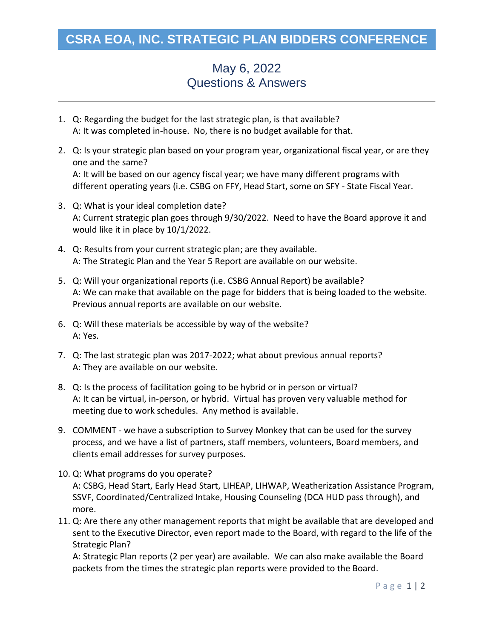## **CSRA EOA, INC. STRATEGIC PLAN BIDDERS CONFERENCE**

## May 6, 2022 Questions & Answers

- 1. Q: Regarding the budget for the last strategic plan, is that available? A: It was completed in-house. No, there is no budget available for that.
- 2. Q: Is your strategic plan based on your program year, organizational fiscal year, or are they one and the same? A: It will be based on our agency fiscal year; we have many different programs with different operating years (i.e. CSBG on FFY, Head Start, some on SFY - State Fiscal Year.
- 3. Q: What is your ideal completion date? A: Current strategic plan goes through 9/30/2022. Need to have the Board approve it and would like it in place by 10/1/2022.
- 4. Q: Results from your current strategic plan; are they available. A: The Strategic Plan and the Year 5 Report are available on our website.
- 5. Q: Will your organizational reports (i.e. CSBG Annual Report) be available? A: We can make that available on the page for bidders that is being loaded to the website. Previous annual reports are available on our website.
- 6. Q: Will these materials be accessible by way of the website? A: Yes.
- 7. Q: The last strategic plan was 2017-2022; what about previous annual reports? A: They are available on our website.
- 8. Q: Is the process of facilitation going to be hybrid or in person or virtual? A: It can be virtual, in-person, or hybrid. Virtual has proven very valuable method for meeting due to work schedules. Any method is available.
- 9. COMMENT we have a subscription to Survey Monkey that can be used for the survey process, and we have a list of partners, staff members, volunteers, Board members, and clients email addresses for survey purposes.
- 10. Q: What programs do you operate? A: CSBG, Head Start, Early Head Start, LIHEAP, LIHWAP, Weatherization Assistance Program, SSVF, Coordinated/Centralized Intake, Housing Counseling (DCA HUD pass through), and more.
- 11. Q: Are there any other management reports that might be available that are developed and sent to the Executive Director, even report made to the Board, with regard to the life of the Strategic Plan?

A: Strategic Plan reports (2 per year) are available. We can also make available the Board packets from the times the strategic plan reports were provided to the Board.